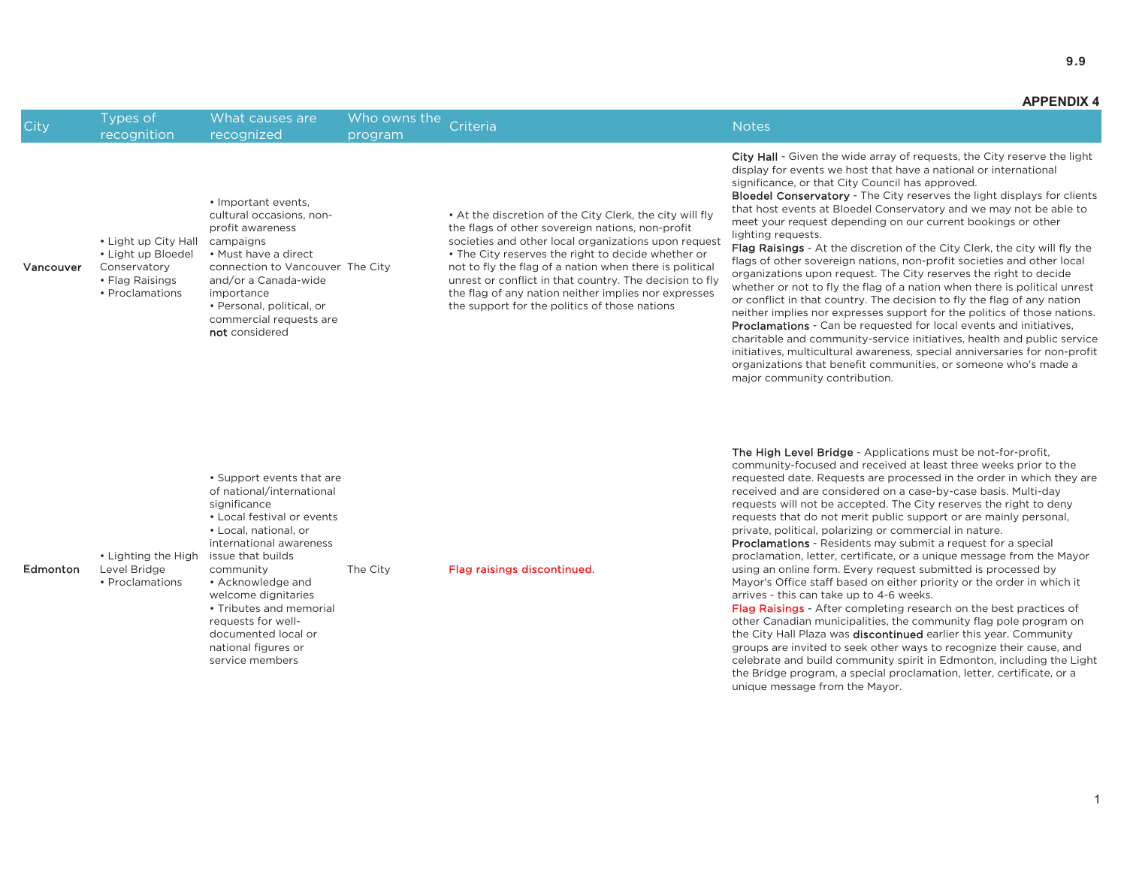## 9.9

**APPENDIX 4**

Vancouver

• Light up City Hall • Light up Bloedel Conservatory • Flag Raisings • Proclamations

• Important events, cultural occasions, nonprofit awareness campaigns

• Must have a direct

importance

not considered

and/or a Canada-wide

• Personal, political, or commercial requests are

connection to Vancouver The City

City Hall - Given the wide array of requests, the City reserve the light display for events we host that have a national or international significance, or that City Council has approved.

**Bloedel Conservatory** - The City reserves the light displays for clients that host events at Bloedel Conservatory and we may not be able to meet your request depending on our current bookings or other lighting requests.

Flag Raisings - At the discretion of the City Clerk, the city will fly the flags of other sovereign nations, non-profit societies and other local organizations upon request. The City reserves the right to decide whether or not to fly the flag of a nation when there is political unrest or conflict in that country. The decision to fly the flag of any nation heither implies nor expresses support for the politics of those nations. Proclamations - Can be requested for local events and initiatives, charitable and community-service initiatives, health and public service initiatives, multicultural awareness, special anniversaries for non-profit organizations that benefit communities, or someone who's made a major community contribution.

**Edmonton** • Lighting the High Level Bridge • Proclamations • Support events that are of national/international significance • Local festival or events • Local, national, or international awareness issue that builds community • Acknowledge and welcome dignitaries • Tributes and memorial requests for welldocumented local or national figures or

service members

• At the discretion of the City Clerk, the city will fly the flags of other sovereign nations, non-profit societies and other local organizations upon request • The City reserves the right to decide whether or not to fly the flag of a nation when there is political unrest or conflict in that country. The decision to fly the flag of any nation neither implies nor expresses the support for the politics of those nations

The City **Flag raisings discontinued.** 

**The High Level Bridge** - Applications must be not-for-profit, community-focused and received at least three weeks prior to the requested date. Requests are processed in the order in which they are received and are considered on a case-by-case basis. Multi-day requests will not be accepted. The City reserves the right to deny requests that do not merit public support or are mainly personal, private, political, polarizing or commercial in nature.

Proclamations - Residents may submit a request for a special proclamation, letter, certificate, or a unique message from the Mayor using an online form. Every request submitted is processed by Mayor's Office staff based on either priority or the order in which it arrives - this can take up to 4-6 weeks.

Flag Raisings - After completing research on the best practices of other Canadian municipalities, the community flag pole program on the City Hall Plaza was discontinued earlier this year. Community groups are invited to seek other ways to recognize their cause, and celebrate and build community spirit in Edmonton, including the Light the Bridge program, a special proclamation, letter, certificate, or a unique message from the Mayor.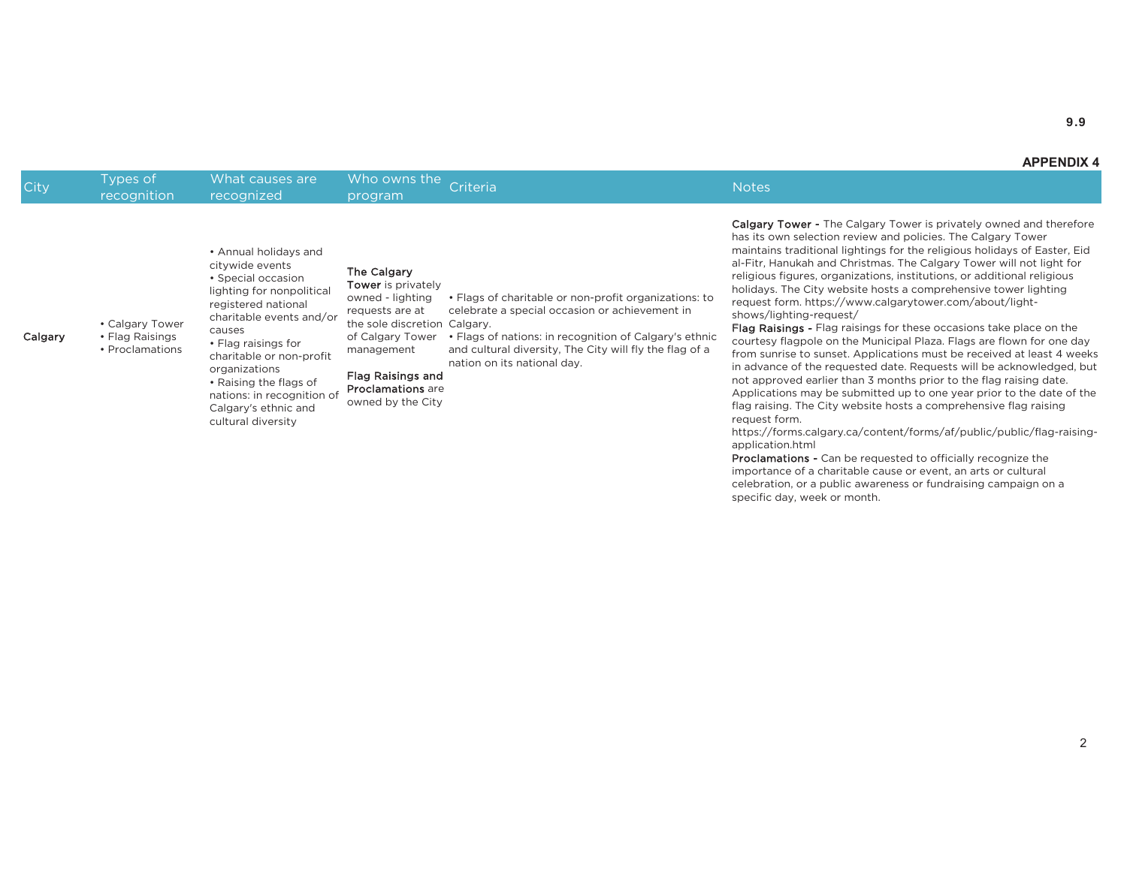9.9

Calgary

• Calgary Tower • Flag Raisings • Proclamations

City Types of What causes are Who owns the priteria networks are recognition are recognized who owns the program Criteria Notes are recognized who owns the program  $\sim$  100 MeV who owns the program  $\sim$  100 MeV w

citywide events • Special occasion lighting for nonpolitical registered national charitable events and/or causes· Flag raisings for charitable or non-profit organizations • Raising the flags of nations: in recognition of Calgary's ethnic and cultural diversity The Calgary

• Annual holidays and

### Tower is privately owned - lighting

requests are at the sole discretion Calgary. of Calgary Tower • Flags of charitable or non-profit organizations: to celebrate a special occasion or achievement in • Flags of nations: in recognition of Calgary's ethnic

management and cultural diversity. The City will fly the flag of a hation on its national day.

Flag Raisings and **Proclamations** are

owned by the City

Calgary Tower - The Calgary Tower is privately owned and therefore has its own selection review and policies. The Calgary Tower maintains traditional lightings for the religious holidays of Easter, Eid al-Fitr, Hanukah and Christmas. The Calgary Tower will not light for religious figures, organizations, institutions, or additional religious holidays. The City website hosts a comprehensive tower lighting request form. https://www.calgarytower.com/about/lightshows/lighting-request/

Flag Raisings - Flag raisings for these occasions take place on the courtesy flagpole on the Municipal Plaza. Flags are flown for one day from sunrise to sunset. Applications must be received at least 4 weeks in advance of the requested date. Requests will be acknowledged, but not approved earlier than 3 months prior to the flag raising date. Applications may be submitted up to one year prior to the date of the flag raising. The City website hosts a comprehensive flag raising request form.

https://forms.calgary.ca/content/forms/af/public/public/flag-raisingapplication.html

**Proclamations -** Can be requested to officially recognize the importance of a charitable cause or event, an arts or cultural celebration, or a public awareness or fundraising campaign on a specific day, week or month.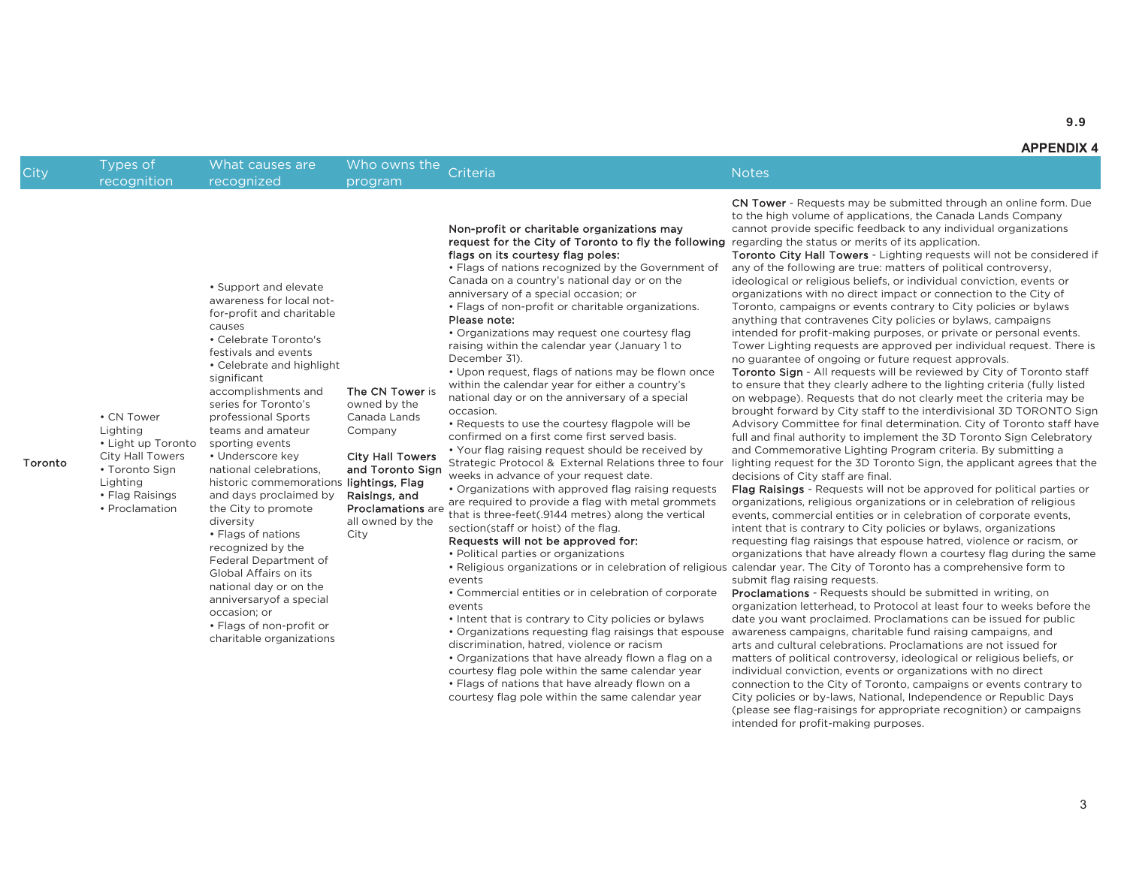**APPENDIX 4**

City Types of What causes are Who owns the priteria networks are recognition are program Criteria Notes<br>City recognition recognized program Criteria

request for the City of Toronto to fly the following regarding the status or merits of its application. CN Tower - Requests may be submitted through an online form. Due to the high volume of applications, the Canada Lands Company cannot provide specific feedback to any individual organizations

> Toronto City Hall Towers - Lighting requests will not be considered if any of the following are true: matters of political controversy, ideological or religious beliefs, or individual conviction, events or organizations with no direct impact or connection to the City of Toronto, campaigns or events contrary to City policies or bylaws anything that contravenes City policies or bylaws, campaigns intended for profit-making purposes, or private or personal events. Tower Lighting requests are approved per individual request. There is no guarantee of ongoing or future request approvals.

> Toronto Sign - All requests will be reviewed by City of Toronto staff to ensure that they clearly adhere to the lighting criteria (fully listed on webpage). Requests that do not clearly meet the criteria may be brought forward by City staff to the interdivisional 3D TORONTO Sign Advisory Committee for final determination. City of Toronto staff have full and final authority to implement the 3D Toronto Sign Celebratory and Commemorative Lighting Program criteria. By submitting a lighting request for the 3D Toronto Sign, the applicant agrees that the decisions of City staff are final.

• Religious organizations or in celebration of religious calendar year. The City of Toronto has a comprehensive form to Flag Raisings - Requests will not be approved for political parties or organizations, religious organizations or in celebration of religious events, commercial entities or in celebration of corporate events, intent that is contrary to City policies or bylaws, organizations requesting flag raisings that espouse hatred, violence or racism, or organizations that have already flown a courtesy flag during the same submit flag raising requests.

> Proclamations - Requests should be submitted in writing, on organization letterhead, to Protocol at least four to weeks before the date you want proclaimed. Proclamations can be issued for public awareness campaigns, charitable fund raising campaigns, and arts and cultural celebrations. Proclamations are not issued for matters of political controversy, ideological or religious beliefs, or individual conviction, events or organizations with no direct connection to the City of Toronto, campaigns or events contrary to City policies or by-laws, National, Independence or Republic Days (please see flag-raisings for appropriate recognition) or campaigns intended for profit-making purposes.

• Support and elevate awareness for local notfor-profit and charitable causes• Celebrate Toronto's

festivals and events • Celebrate and highlight significant

sporting events • Underscore key national celebrations,

occasion: or

• Flags of non-profit or charitable organizations

The CN Tower is accomplishments and series for Toronto's

owned by the Canada Lands Company professional Sports teams and amateur

# historic commemorations **lightings, Flag** Raisings, and

City and days proclaimed by the City to promote diversity • Flags of nations recognized by the Federal Department of Global Affairs on its hational day or on the anniversaryof a special

**City Hall Towers** and Toronto Sign

Proclamations are

are required to provide a flag with metal grommets

• Your flag raising request should be received by Strategic Protocol & External Relations three to four weeks in advance of your request date. • Organizations with approved flag raising requests

all owned by the

## that is three-feet(.9144 metres) along the vertical section(staff or hoist) of the flag. Requests will not be approved for:

- Political parties or organizations
- events
- Commercial entities or in celebration of corporate events

Non-profit or charitable organizations may

• Flags of nations recognized by the Government of Canada on a country's national day or on the anniversary of a special occasion; or

• Flags of non-profit or charitable organizations.

• Organizations may request one courtesy flag raising within the calendar year (January 1 to

• Requests to use the courtesy flagpole will be confirmed on a first come first served basis.

• Upon request, flags of nations may be flown once within the calendar year for either a country's national day or on the anniversary of a special

flags on its courtesy flag poles:

Please note:

December 31).

occasion.

- Intent that is contrary to City policies or bylaws
- Organizations requesting flag raisings that espouse discrimination, hatred, violence or racism
- Organizations that have already flown a flag on a
- courtesy flag pole within the same calendar year • Flags of nations that have already flown on a courtesy flag pole within the same calendar year

Toronto

Lighting

• Flag Raisings • Proclamation

• CN Tower Lighting

• Light up Toronto City Hall Towers • Toronto Sign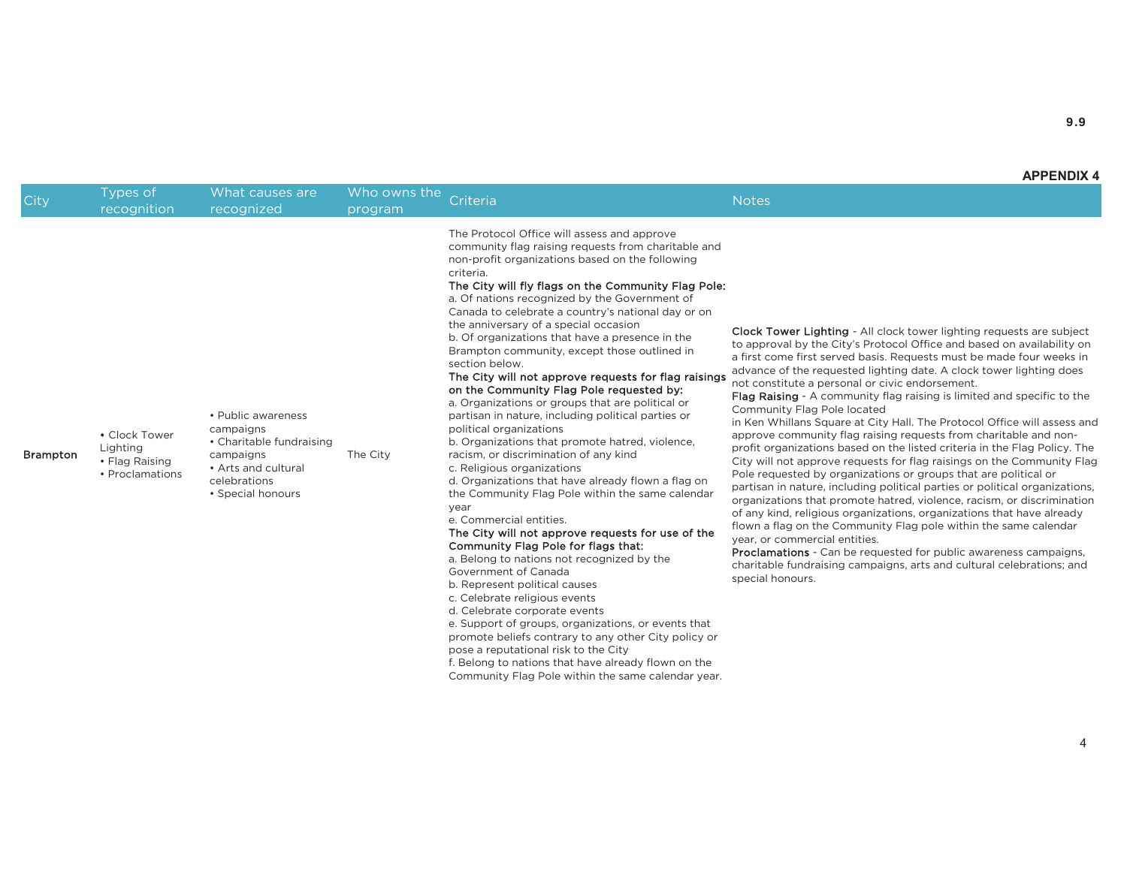## **APPENDIX 4**

| City            | Types of<br>recognition                                        | What causes are<br>recognized                                                                                                        | Who owns the<br>program | Criteria                                                                                                                                                                                                                                                                                                                                                                                                                                                                                                                                                                                                                                                                                                                                                                                                                                                                                                                                                                                                                                                                                                                                                                                                                                                                                                                                                                                                                                                                                                                                                | <b>Notes</b>                                                                                                                                                                                                                                                                                                                                                                                                                                                                                                                                                                                                                                                                                                                                                                                                                                                                                                                                                                                                                                                                                                                                                                                                                                                                                                                                                     |
|-----------------|----------------------------------------------------------------|--------------------------------------------------------------------------------------------------------------------------------------|-------------------------|---------------------------------------------------------------------------------------------------------------------------------------------------------------------------------------------------------------------------------------------------------------------------------------------------------------------------------------------------------------------------------------------------------------------------------------------------------------------------------------------------------------------------------------------------------------------------------------------------------------------------------------------------------------------------------------------------------------------------------------------------------------------------------------------------------------------------------------------------------------------------------------------------------------------------------------------------------------------------------------------------------------------------------------------------------------------------------------------------------------------------------------------------------------------------------------------------------------------------------------------------------------------------------------------------------------------------------------------------------------------------------------------------------------------------------------------------------------------------------------------------------------------------------------------------------|------------------------------------------------------------------------------------------------------------------------------------------------------------------------------------------------------------------------------------------------------------------------------------------------------------------------------------------------------------------------------------------------------------------------------------------------------------------------------------------------------------------------------------------------------------------------------------------------------------------------------------------------------------------------------------------------------------------------------------------------------------------------------------------------------------------------------------------------------------------------------------------------------------------------------------------------------------------------------------------------------------------------------------------------------------------------------------------------------------------------------------------------------------------------------------------------------------------------------------------------------------------------------------------------------------------------------------------------------------------|
| <b>Brampton</b> | • Clock Tower<br>Lighting<br>• Flag Raising<br>• Proclamations | • Public awareness<br>campaigns<br>• Charitable fundraising<br>campaigns<br>• Arts and cultural<br>celebrations<br>• Special honours | The City                | The Protocol Office will assess and approve<br>community flag raising requests from charitable and<br>non-profit organizations based on the following<br>criteria.<br>The City will fly flags on the Community Flag Pole:<br>a. Of nations recognized by the Government of<br>Canada to celebrate a country's national day or on<br>the anniversary of a special occasion<br>b. Of organizations that have a presence in the<br>Brampton community, except those outlined in<br>section below.<br>The City will not approve requests for flag raisings<br>on the Community Flag Pole requested by:<br>a. Organizations or groups that are political or<br>partisan in nature, including political parties or<br>political organizations<br>b. Organizations that promote hatred, violence,<br>racism, or discrimination of any kind<br>c. Religious organizations<br>d. Organizations that have already flown a flag on<br>the Community Flag Pole within the same calendar<br>year<br>e. Commercial entities.<br>The City will not approve requests for use of the<br>Community Flag Pole for flags that:<br>a. Belong to nations not recognized by the<br>Government of Canada<br>b. Represent political causes<br>c. Celebrate religious events<br>d. Celebrate corporate events<br>e. Support of groups, organizations, or events that<br>promote beliefs contrary to any other City policy or<br>pose a reputational risk to the City<br>f. Belong to nations that have already flown on the<br>Community Flag Pole within the same calendar year. | <b>Clock Tower Lighting - All clock tower lighting requests are subject</b><br>to approval by the City's Protocol Office and based on availability on<br>a first come first served basis. Requests must be made four weeks in<br>advance of the requested lighting date. A clock tower lighting does<br>not constitute a personal or civic endorsement.<br><b>Flag Raising</b> - A community flag raising is limited and specific to the<br>Community Flag Pole located<br>in Ken Whillans Square at City Hall. The Protocol Office will assess and<br>approve community flag raising requests from charitable and non-<br>profit organizations based on the listed criteria in the Flag Policy. The<br>City will not approve requests for flag raisings on the Community Flag<br>Pole requested by organizations or groups that are political or<br>partisan in nature, including political parties or political organizations,<br>organizations that promote hatred, violence, racism, or discrimination<br>of any kind, religious organizations, organizations that have already<br>flown a flag on the Community Flag pole within the same calendar<br>year, or commercial entities.<br><b>Proclamations</b> - Can be requested for public awareness campaigns,<br>charitable fundraising campaigns, arts and cultural celebrations; and<br>special honours. |

4